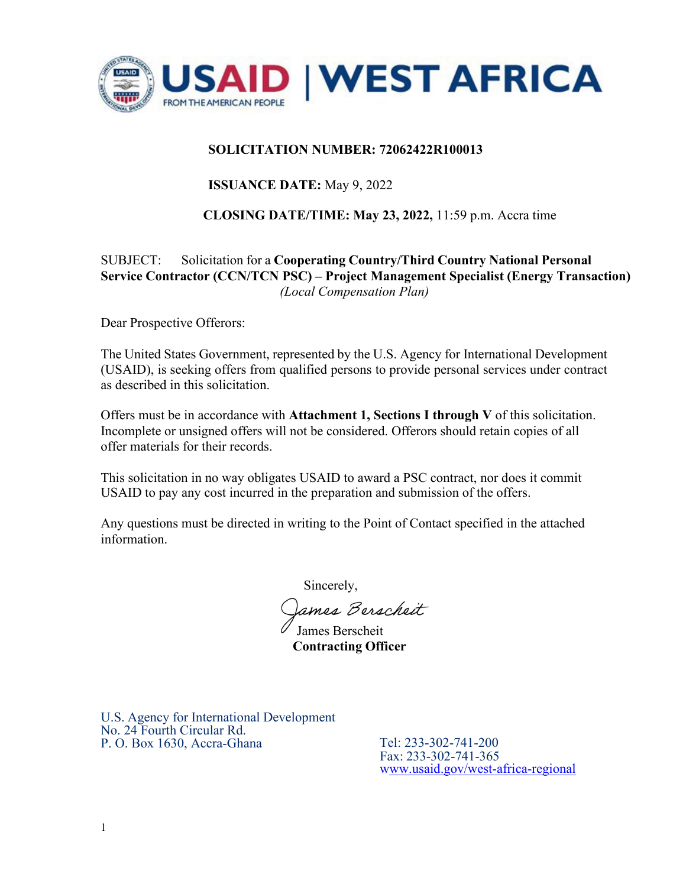

## **SOLICITATION NUMBER: 72062422R100013**

# **ISSUANCE DATE:** May 9, 2022

## **CLOSING DATE/TIME: May 23, 2022,** 11:59 p.m. Accra time

# SUBJECT: Solicitation for a **Cooperating Country/Third Country National Personal Service Contractor (CCN/TCN PSC) – Project Management Specialist (Energy Transaction)**  *(Local Compensation Plan)*

Dear Prospective Offerors:

The United States Government, represented by the U.S. Agency for International Development (USAID), is seeking offers from qualified persons to provide personal services under contract as described in this solicitation.

Offers must be in accordance with **Attachment 1, Sections I through V** of this solicitation. Incomplete or unsigned offers will not be considered. Offerors should retain copies of all offer materials for their records.

This solicitation in no way obligates USAID to award a PSC contract, nor does it commit USAID to pay any cost incurred in the preparation and submission of the offers.

Any questions must be directed in writing to the Point of Contact specified in the attached information.

Sincerely,

James Berscheit

 **Contracting Officer** James Berscheit

U.S. Agency for International Development No. 24 Fourth Circular Rd. P. O. Box 1630, Accra-Ghana Tel: 233-302-741-200

Fax: 233-302-741-365 [www.usaid.gov/west-africa-regional](http://www.usaid.gov/west-africa-regional)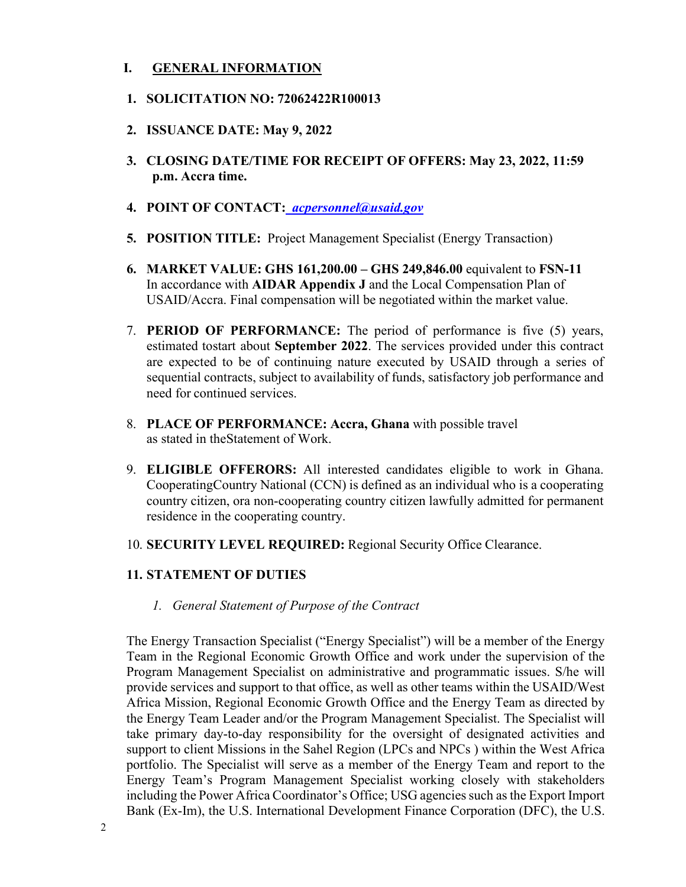### **I. GENERAL INFORMATION**

- **1. SOLICITATION NO: 72062422R100013**
- **2. ISSUANCE DATE: May 9, 2022**
- **3. CLOSING DATE/TIME FOR RECEIPT OF OFFERS: May 23, 2022, 11:59 p.m. Accra time.**
- **4. POINT OF CONTACT:** *[acpersonnel@usaid.gov](mailto:acpersonnel@usaid.gov)*
- **5. POSITION TITLE:** Project Management Specialist (Energy Transaction)
- **6. MARKET VALUE: GHS 161,200.00 GHS 249,846.00** equivalent to **FSN-11**  In accordance with **AIDAR Appendix J** and the Local Compensation Plan of USAID/Accra. Final compensation will be negotiated within the market value.
- 7. **PERIOD OF PERFORMANCE:** The period of performance is five (5) years, estimated tostart about **September 2022**. The services provided under this contract are expected to be of continuing nature executed by USAID through a series of sequential contracts, subject to availability of funds, satisfactory job performance and need for continued services.
- 8. **PLACE OF PERFORMANCE: Accra, Ghana** with possible travel as stated in theStatement of Work.
- 9. **ELIGIBLE OFFERORS:** All interested candidates eligible to work in Ghana. Cooperating Country National (CCN) is defined as an individual who is a cooperating country citizen, or a non-cooperating country citizen lawfully admitted for permanent residence in the cooperating country.
- 10. **SECURITY LEVEL REQUIRED:** Regional Security Office Clearance.

#### **11. STATEMENT OF DUTIES**

*1. General Statement of Purpose of the Contract* 

The Energy Transaction Specialist ("Energy Specialist") will be a member of the Energy Team in the Regional Economic Growth Office and work under the supervision of the Program Management Specialist on administrative and programmatic issues. S/he will provide services and support to that office, as well as other teams within the USAID/West Africa Mission, Regional Economic Growth Office and the Energy Team as directed by the Energy Team Leader and/or the Program Management Specialist. The Specialist will take primary day-to-day responsibility for the oversight of designated activities and support to client Missions in the Sahel Region (LPCs and NPCs ) within the West Africa portfolio. The Specialist will serve as a member of the Energy Team and report to the Energy Team's Program Management Specialist working closely with stakeholders including the Power Africa Coordinator's Office; USG agencies such as the Export Import Bank (Ex-Im), the U.S. International Development Finance Corporation (DFC), the U.S.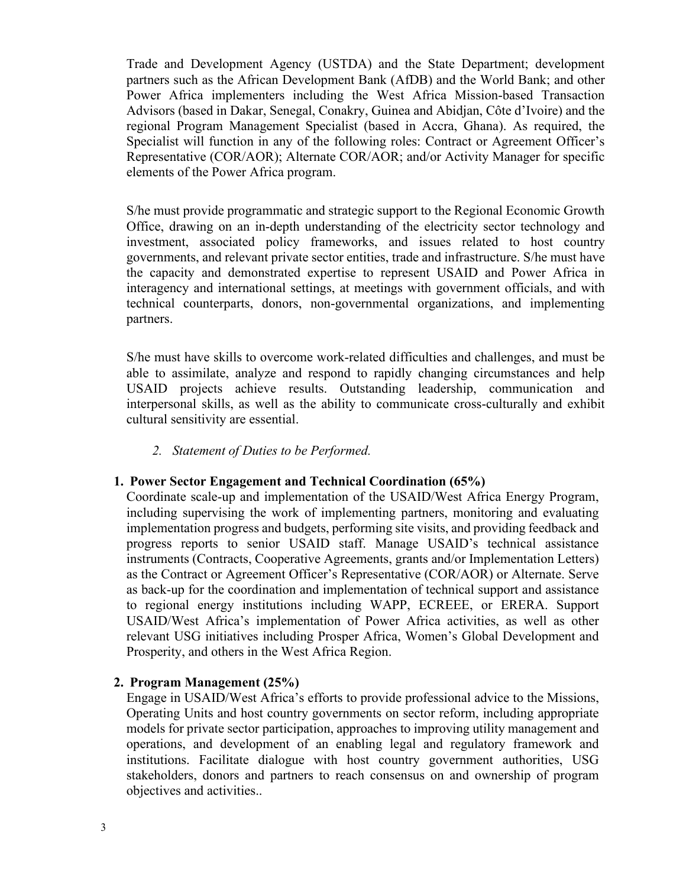Trade and Development Agency (USTDA) and the State Department; development partners such as the African Development Bank (AfDB) and the World Bank; and other Power Africa implementers including the West Africa Mission-based Transaction Advisors (based in Dakar, Senegal, Conakry, Guinea and Abidjan, Côte d'Ivoire) and the regional Program Management Specialist (based in Accra, Ghana). As required, the Specialist will function in any of the following roles: Contract or Agreement Officer's Representative (COR/AOR); Alternate COR/AOR; and/or Activity Manager for specific elements of the Power Africa program.

S/he must provide programmatic and strategic support to the Regional Economic Growth Office, drawing on an in-depth understanding of the electricity sector technology and investment, associated policy frameworks, and issues related to host country governments, and relevant private sector entities, trade and infrastructure. S/he must have the capacity and demonstrated expertise to represent USAID and Power Africa in interagency and international settings, at meetings with government officials, and with technical counterparts, donors, non-governmental organizations, and implementing partners.

S/he must have skills to overcome work-related difficulties and challenges, and must be able to assimilate, analyze and respond to rapidly changing circumstances and help USAID projects achieve results. Outstanding leadership, communication and interpersonal skills, as well as the ability to communicate cross-culturally and exhibit cultural sensitivity are essential.

#### *2. Statement of Duties to be Performed.*

#### **1. Power Sector Engagement and Technical Coordination (65%)**

Coordinate scale-up and implementation of the USAID/West Africa Energy Program, including supervising the work of implementing partners, monitoring and evaluating implementation progress and budgets, performing site visits, and providing feedback and progress reports to senior USAID staff. Manage USAID's technical assistance instruments (Contracts, Cooperative Agreements, grants and/or Implementation Letters) as the Contract or Agreement Officer's Representative (COR/AOR) or Alternate. Serve as back-up for the coordination and implementation of technical support and assistance to regional energy institutions including WAPP, ECREEE, or ERERA. Support USAID/West Africa's implementation of Power Africa activities, as well as other relevant USG initiatives including Prosper Africa, Women's Global Development and Prosperity, and others in the West Africa Region.

## **2. Program Management (25%)**

Engage in USAID/West Africa's efforts to provide professional advice to the Missions, Operating Units and host country governments on sector reform, including appropriate models for private sector participation, approaches to improving utility management and operations, and development of an enabling legal and regulatory framework and institutions. Facilitate dialogue with host country government authorities, USG stakeholders, donors and partners to reach consensus on and ownership of program objectives and activities..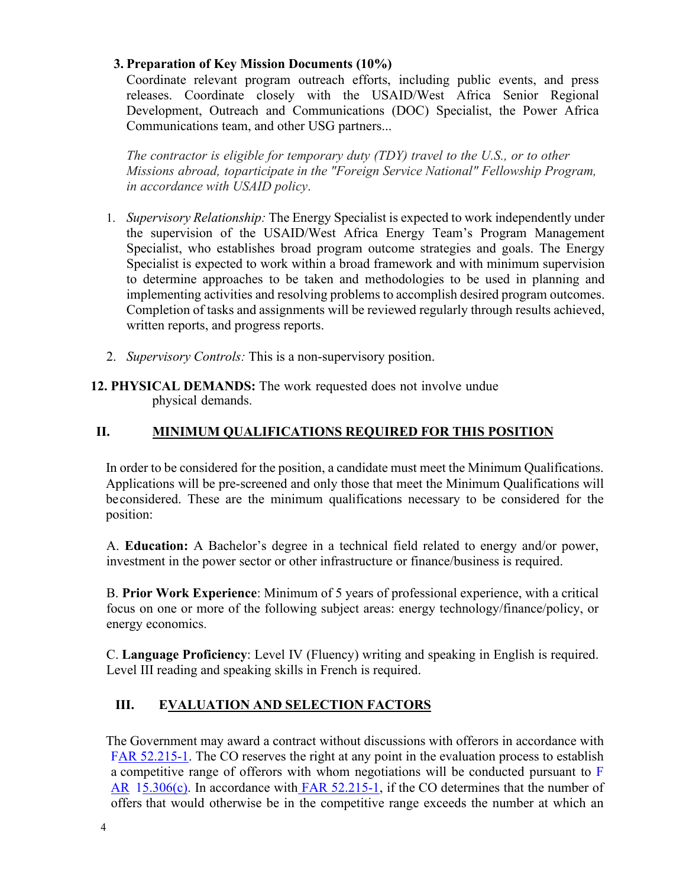### **3. Preparation of Key Mission Documents (10%)**

Coordinate relevant program outreach efforts, including public events, and press releases. Coordinate closely with the USAID/West Africa Senior Regional Development, Outreach and Communications (DOC) Specialist, the Power Africa Communications team, and other USG partners...

*The contractor is eligible for temporary duty (TDY) travel to the U.S., or to other Missions abroad, toparticipate in the "Foreign Service National" Fellowship Program, in accordance with USAID policy*.

- 1. *Supervisory Relationship:* The Energy Specialist is expected to work independently under the supervision of the USAID/West Africa Energy Team's Program Management Specialist, who establishes broad program outcome strategies and goals. The Energy Specialist is expected to work within a broad framework and with minimum supervision to determine approaches to be taken and methodologies to be used in planning and implementing activities and resolving problems to accomplish desired program outcomes. Completion of tasks and assignments will be reviewed regularly through results achieved, written reports, and progress reports.
- 2. *Supervisory Controls:* This is a non-supervisory position.

### **12. PHYSICAL DEMANDS:** The work requested does not involve undue physical demands.

# **II. MINIMUM QUALIFICATIONS REQUIRED FOR THIS POSITION**

In order to be considered for the position, a candidate must meet the Minimum Qualifications. Applications will be pre-screened and only those that meet the Minimum Qualifications will be considered. These are the minimum qualifications necessary to be considered for the position:

A. **Education:** A Bachelor's degree in a technical field related to energy and/or power, investment in the power sector or other infrastructure or finance/business is required.

B. **Prior Work Experience**: Minimum of 5 years of professional experience, with a critical focus on one or more of the following subject areas: energy technology/finance/policy, or energy economics.

C. **Language Proficiency**: Level IV (Fluency) writing and speaking in English is required. Level III reading and speaking skills in French is required.

# **III. EVALUATION AND SELECTION FACTORS**

The Government may award a contract without discussions with offerors in accordance with [FAR 52.215-1. T](https://www.acquisition.gov/browse/index/far)he CO reserves the right at any point in the evaluation process to establish a competitive range of offerors with whom negotiations will be conducted pursuant to [F](https://www.acquisition.gov/browse/index/far)  [AR](https://www.acquisition.gov/browse/index/far) [15.306\(c\). I](https://www.acquisition.gov/browse/index/far)n accordance with [FAR 52.215-1, i](https://www.acquisition.gov/browse/index/far)f the CO determines that the number of offers that would otherwise be in the competitive range exceeds the number at which an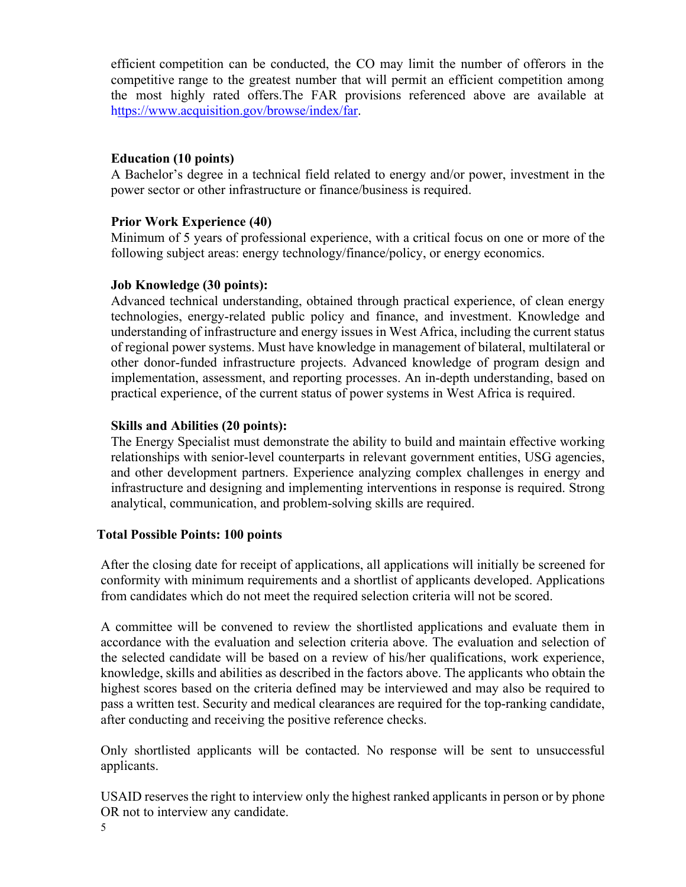efficient competition can be conducted, the CO may limit the number of offerors in the competitive range to the greatest number that will permit an efficient competition among the most highly rated offers.The FAR provisions referenced above are available at [https://www.acquisition.gov/browse/index/far.](https://www.acquisition.gov/browse/index/far)

#### **Education (10 points)**

A Bachelor's degree in a technical field related to energy and/or power, investment in the power sector or other infrastructure or finance/business is required.

#### **Prior Work Experience (40)**

Minimum of 5 years of professional experience, with a critical focus on one or more of the following subject areas: energy technology/finance/policy, or energy economics.

#### **Job Knowledge (30 points):**

Advanced technical understanding, obtained through practical experience, of clean energy technologies, energy-related public policy and finance, and investment. Knowledge and understanding of infrastructure and energy issues in West Africa, including the current status of regional power systems. Must have knowledge in management of bilateral, multilateral or other donor-funded infrastructure projects. Advanced knowledge of program design and implementation, assessment, and reporting processes. An in-depth understanding, based on practical experience, of the current status of power systems in West Africa is required.

#### **Skills and Abilities (20 points):**

The Energy Specialist must demonstrate the ability to build and maintain effective working relationships with senior-level counterparts in relevant government entities, USG agencies, and other development partners. Experience analyzing complex challenges in energy and infrastructure and designing and implementing interventions in response is required. Strong analytical, communication, and problem-solving skills are required.

## **Total Possible Points: 100 points**

After the closing date for receipt of applications, all applications will initially be screened for conformity with minimum requirements and a shortlist of applicants developed. Applications from candidates which do not meet the required selection criteria will not be scored.

A committee will be convened to review the shortlisted applications and evaluate them in accordance with the evaluation and selection criteria above. The evaluation and selection of the selected candidate will be based on a review of his/her qualifications, work experience, knowledge, skills and abilities as described in the factors above. The applicants who obtain the highest scores based on the criteria defined may be interviewed and may also be required to pass a written test. Security and medical clearances are required for the top-ranking candidate, after conducting and receiving the positive reference checks.

Only shortlisted applicants will be contacted. No response will be sent to unsuccessful applicants.

USAID reserves the right to interview only the highest ranked applicants in person or by phone OR not to interview any candidate.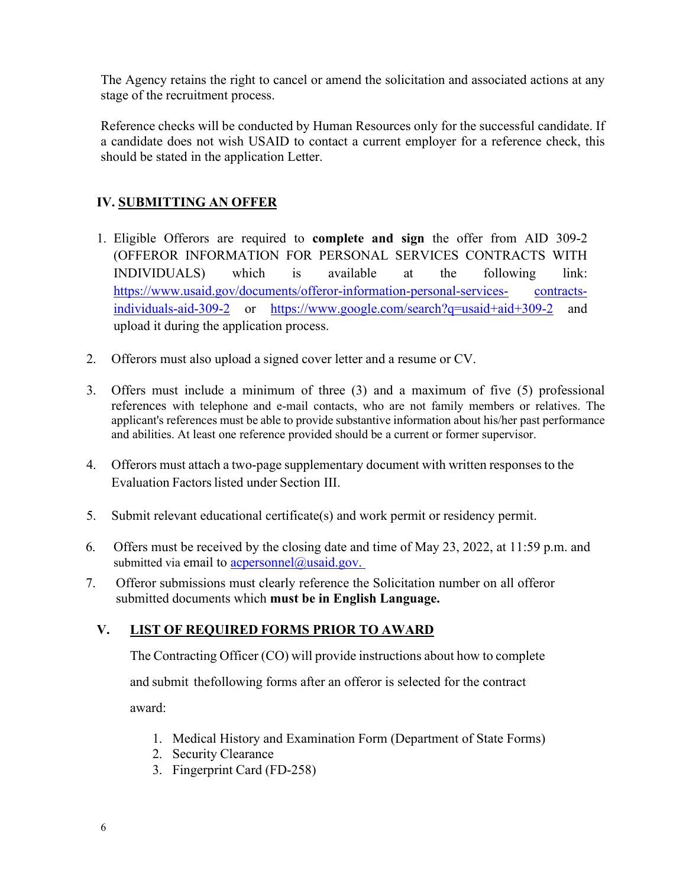The Agency retains the right to cancel or amend the solicitation and associated actions at any stage of the recruitment process.

Reference checks will be conducted by Human Resources only for the successful candidate. If a candidate does not wish USAID to contact a current employer for a reference check, this should be stated in the application Letter.

# **IV. SUBMITTING AN OFFER**

- 1. Eligible Offerors are required to **complete and sign** the offer from AID 309-2 (OFFEROR INFORMATION FOR PERSONAL SERVICES CONTRACTS WITH INDIVIDUALS) which is available at the following link: [https://www.usaid.gov/documents/offeror-information-personal-services-](https://www.usaid.gov/documents/offeror-information-personal-services-contracts-individuals-aid-309-2) [contracts](https://www.usaid.gov/documents/offeror-information-personal-services-contracts-individuals-aid-309-2)[individuals-aid-309-2](https://www.usaid.gov/documents/offeror-information-personal-services-contracts-individuals-aid-309-2) or [https://www.google.com/search?q=usaid+aid+309-2](https://www.google.com/search?q=usaid%2Baid%2B309-2) and upload it during the application process.
- 2. Offerors must also upload a signed cover letter and a resume or CV.
- 3. Offers must include a minimum of three (3) and a maximum of five (5) professional references with telephone and e-mail contacts, who are not family members or relatives. The applicant's references must be able to provide substantive information about his/her past performance and abilities. At least one reference provided should be a current or former supervisor.
- 4. Offerors must attach a two-page supplementary document with written responses to the Evaluation Factors listed under Section III.
- 5. Submit relevant educational certificate(s) and work permit or residency permit.
- 6. Offers must be received by the closing date and time of May 23, 2022, at 11:59 p.m. and submitted via email to  $\alpha$  acpersonnel $\alpha$  usaid.gov.
- 7. Offeror submissions must clearly reference the Solicitation number on all offeror submitted documents which **must be in English Language.**

# **V. LIST OF REQUIRED FORMS PRIOR TO AWARD**

The Contracting Officer (CO) will provide instructions about how to complete

and submit the following forms after an offeror is selected for the contract

award:

- 1. Medical History and Examination Form (Department of State Forms)
- 2. Security Clearance
- 3. Fingerprint Card (FD-258)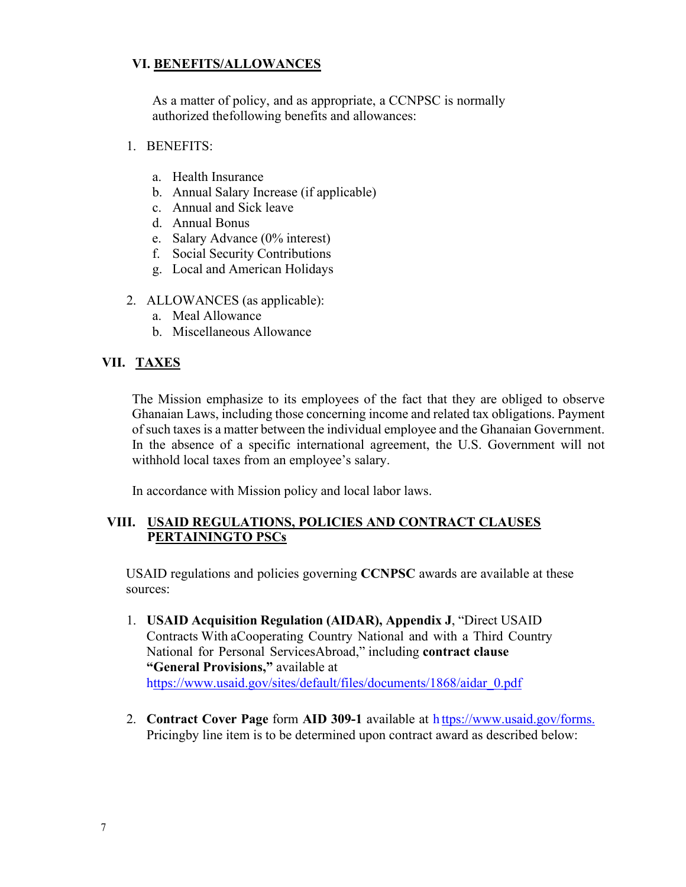## **VI. BENEFITS/ALLOWANCES**

As a matter of policy, and as appropriate, a CCNPSC is normally authorized the following benefits and allowances:

- 1. BENEFITS:
	- a. Health Insurance
	- b. Annual Salary Increase (if applicable)
	- c. Annual and Sick leave
	- d. Annual Bonus
	- e. Salary Advance (0% interest)
	- f. Social Security Contributions
	- g. Local and American Holidays
- 2. ALLOWANCES (as applicable):
	- a. Meal Allowance
	- b. Miscellaneous Allowance

#### **VII. TAXES**

The Mission emphasize to its employees of the fact that they are obliged to observe Ghanaian Laws, including those concerning income and related tax obligations. Payment of such taxes is a matter between the individual employee and the Ghanaian Government. In the absence of a specific international agreement, the U.S. Government will not withhold local taxes from an employee's salary.

In accordance with Mission policy and local labor laws.

#### **VIII. USAID REGULATIONS, POLICIES AND CONTRACT CLAUSES PERTAININGTO PSCs**

USAID regulations and policies governing **CCNPSC** awards are available at these sources:

- 1. **USAID Acquisition Regulation (AIDAR), Appendix J**, "Direct USAID Contracts With a Cooperating Country National and with a Third Country National for Personal Services Abroad," including **contract clause "General Provisions,"** available at [https://www.usaid.gov/sites/default/files/documents/1868/aidar\\_0.pdf](https://www.usaid.gov/sites/default/files/documents/1868/aidar_0.pdf)
- 2. **Contract Cover Page** form **AID 309-1** available at [h ttps://www.usaid.gov/forms.](https://www.usaid.gov/forms) Pricing by line item is to be determined upon contract award as described below: